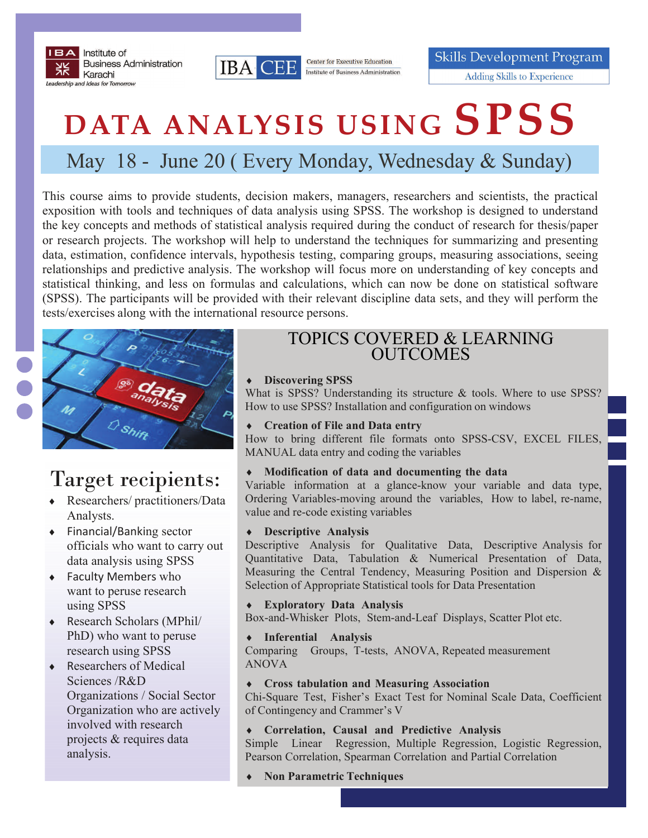



**Center for Executive Education** Institute of Business Administration **Skills Development Program Adding Skills to Experience** 

# **DATA ANALYSIS USING SPSS**

# May 18 - June 20 ( Every Monday, Wednesday & Sunday)

This course aims to provide students, decision makers, managers, researchers and scientists, the practical exposition with tools and techniques of data analysis using SPSS. The workshop is designed to understand the key concepts and methods of statistical analysis required during the conduct of research for thesis/paper or research projects. The workshop will help to understand the techniques for summarizing and presenting data, estimation, confidence intervals, hypothesis testing, comparing groups, measuring associations, seeing relationships and predictive analysis. The workshop will focus more on understanding of key concepts and statistical thinking, and less on formulas and calculations, which can now be done on statistical software (SPSS). The participants will be provided with their relevant discipline data sets, and they will perform the tests/exercises along with the international resource persons.



# Target recipients:

- Researchers/ practitioners/Data Analysts.
- ◆ Financial/Banking sector officials who want to carry out data analysis using SPSS
- Faculty Members who want to peruse research using SPSS
- Research Scholars (MPhil/ PhD) who want to peruse research using SPSS
- ◆ Researchers of Medical Sciences /R&D Organizations / Social Sector Organization who are actively involved with research projects & requires data analysis.

## TOPICS COVERED & LEARNING **OUTCOMES**

#### **Discovering SPSS**

What is SPSS? Understanding its structure & tools. Where to use SPSS? How to use SPSS? Installation and configuration on windows

#### **Creation of File and Data entry**

How to bring different file formats onto SPSS-CSV, EXCEL FILES, MANUAL data entry and coding the variables

#### **Modification of data and documenting the data**

Variable information at a glance-know your variable and data type, Ordering Variables-moving around the variables, How to label, re-name, value and re-code existing variables

#### **Descriptive Analysis**

Descriptive Analysis for Qualitative Data, Descriptive Analysis for Quantitative Data, Tabulation & Numerical Presentation of Data, Measuring the Central Tendency, Measuring Position and Dispersion & Selection of Appropriate Statistical tools for Data Presentation

#### **Exploratory Data Analysis**

Box-and-Whisker Plots, Stem-and-Leaf Displays, Scatter Plot etc.

**Inferential Analysis** 

Comparing Groups, T-tests, ANOVA, Repeated measurement ANOVA

#### **Cross tabulation and Measuring Association**

Chi-Square Test, Fisher's Exact Test for Nominal Scale Data, Coefficient of Contingency and Crammer's V

#### **Correlation, Causal and Predictive Analysis**

Simple Linear Regression, Multiple Regression, Logistic Regression, Pearson Correlation, Spearman Correlation and Partial Correlation

**Non Parametric Techniques**